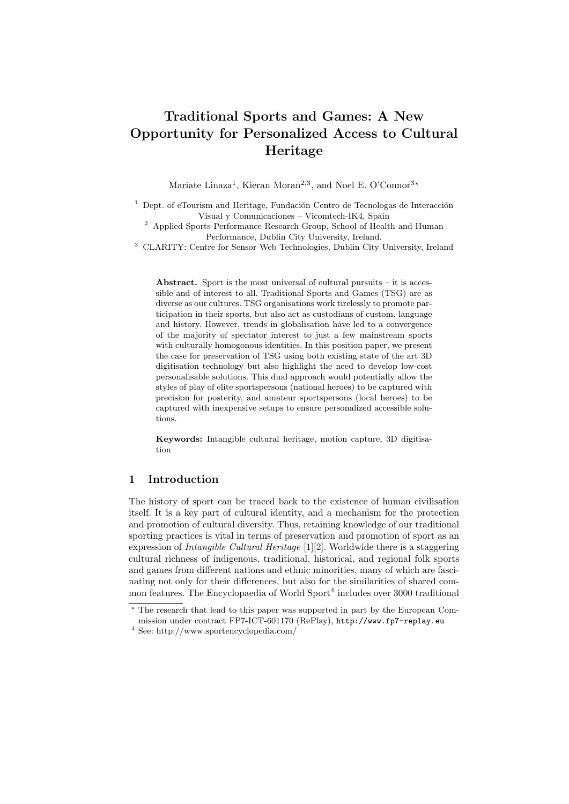# Traditional Sports and Games: A New Opportunity for Personalized Access to Cultural Heritage

Mariate Linaza<sup>1</sup>, Kieran Moran<sup>2,3</sup>, and Noel E. O'Connor<sup>3\*</sup>

 $1$  Dept. of eTourism and Heritage, Fundación Centro de Tecnologas de Interacción Visual y Comunicaciones – Vicomtech-IK4, Spain

<sup>2</sup> Applied Sports Performance Research Group, School of Health and Human Performance, Dublin City University, Ireland.

<sup>3</sup> CLARITY: Centre for Sensor Web Technologies, Dublin City University, Ireland

Abstract. Sport is the most universal of cultural pursuits – it is accessible and of interest to all. Traditional Sports and Games (TSG) are as diverse as our cultures. TSG organisations work tirelessly to promote participation in their sports, but also act as custodians of custom, language and history. However, trends in globalisation have led to a convergence of the majority of spectator interest to just a few mainstream sports with culturally homogonous identities. In this position paper, we present the case for preservation of TSG using both existing state of the art 3D digitisation technology but also highlight the need to develop low-cost personalisable solutions. This dual approach would potentially allow the styles of play of elite sportspersons (national heroes) to be captured with precision for posterity, and amateur sportspersons (local heroes) to be captured with inexpensive setups to ensure personalized accessible solutions.

Keywords: Intangible cultural heritage, motion capture, 3D digitisation

### 1 Introduction

The history of sport can be traced back to the existence of human civilisation itself. It is a key part of cultural identity, and a mechanism for the protection and promotion of cultural diversity. Thus, retaining knowledge of our traditional sporting practices is vital in terms of preservation and promotion of sport as an expression of Intangible Cultural Heritage [1][2]. Worldwide there is a staggering cultural richness of indigenous, traditional, historical, and regional folk sports and games from different nations and ethnic minorities, many of which are fascinating not only for their differences, but also for the similarities of shared common features. The Encyclopaedia of World Sport<sup>4</sup> includes over 3000 traditional

<sup>?</sup> The research that lead to this paper was supported in part by the European Com-

mission under contract FP7-ICT-601170 (RePlay), http://www.fp7-replay.eu

<sup>4</sup> See: http://www.sportencyclopedia.com/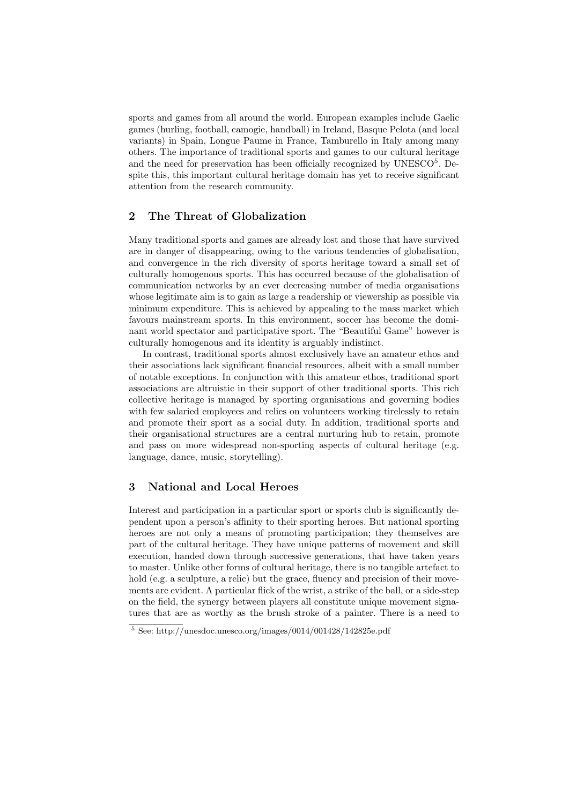sports and games from all around the world. European examples include Gaelic games (hurling, football, camogie, handball) in Ireland, Basque Pelota (and local variants) in Spain, Longue Paume in France, Tamburello in Italy among many others. The importance of traditional sports and games to our cultural heritage and the need for preservation has been officially recognized by  $UNESCO<sup>5</sup>$ . Despite this, this important cultural heritage domain has yet to receive significant attention from the research community.

## 2 The Threat of Globalization

Many traditional sports and games are already lost and those that have survived are in danger of disappearing, owing to the various tendencies of globalisation, and convergence in the rich diversity of sports heritage toward a small set of culturally homogenous sports. This has occurred because of the globalisation of communication networks by an ever decreasing number of media organisations whose legitimate aim is to gain as large a readership or viewership as possible via minimum expenditure. This is achieved by appealing to the mass market which favours mainstream sports. In this environment, soccer has become the dominant world spectator and participative sport. The "Beautiful Game" however is culturally homogenous and its identity is arguably indistinct.

In contrast, traditional sports almost exclusively have an amateur ethos and their associations lack significant financial resources, albeit with a small number of notable exceptions. In conjunction with this amateur ethos, traditional sport associations are altruistic in their support of other traditional sports. This rich collective heritage is managed by sporting organisations and governing bodies with few salaried employees and relies on volunteers working tirelessly to retain and promote their sport as a social duty. In addition, traditional sports and their organisational structures are a central nurturing hub to retain, promote and pass on more widespread non-sporting aspects of cultural heritage (e.g. language, dance, music, storytelling).

### 3 National and Local Heroes

Interest and participation in a particular sport or sports club is significantly dependent upon a person's affinity to their sporting heroes. But national sporting heroes are not only a means of promoting participation; they themselves are part of the cultural heritage. They have unique patterns of movement and skill execution, handed down through successive generations, that have taken years to master. Unlike other forms of cultural heritage, there is no tangible artefact to hold (e.g. a sculpture, a relic) but the grace, fluency and precision of their movements are evident. A particular flick of the wrist, a strike of the ball, or a side-step on the field, the synergy between players all constitute unique movement signatures that are as worthy as the brush stroke of a painter. There is a need to

 $5$  See: http://unesdoc.unesco.org/images/0014/001428/142825e.pdf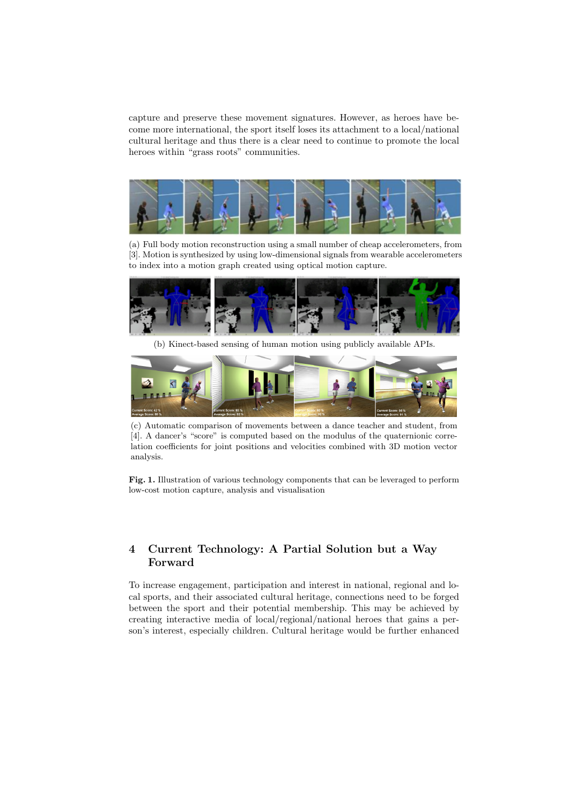capture and preserve these movement signatures. However, as heroes have become more international, the sport itself loses its attachment to a local/national cultural heritage and thus there is a clear need to continue to promote the local heroes within "grass roots" communities.



(a) Full body motion reconstruction using a small number of cheap accelerometers, from [3]. Motion is synthesized by using low-dimensional signals from wearable accelerometers to index into a motion graph created using optical motion capture.



(b) Kinect-based sensing of human motion using publicly available APIs.



(c) Automatic comparison of movements between a dance teacher and student, from [4]. A dancer's "score" is computed based on the modulus of the quaternionic correlation coefficients for joint positions and velocities combined with 3D motion vector analysis.

Fig. 1. Illustration of various technology components that can be leveraged to perform low-cost motion capture, analysis and visualisation

## 4 Current Technology: A Partial Solution but a Way Forward

To increase engagement, participation and interest in national, regional and local sports, and their associated cultural heritage, connections need to be forged between the sport and their potential membership. This may be achieved by creating interactive media of local/regional/national heroes that gains a person's interest, especially children. Cultural heritage would be further enhanced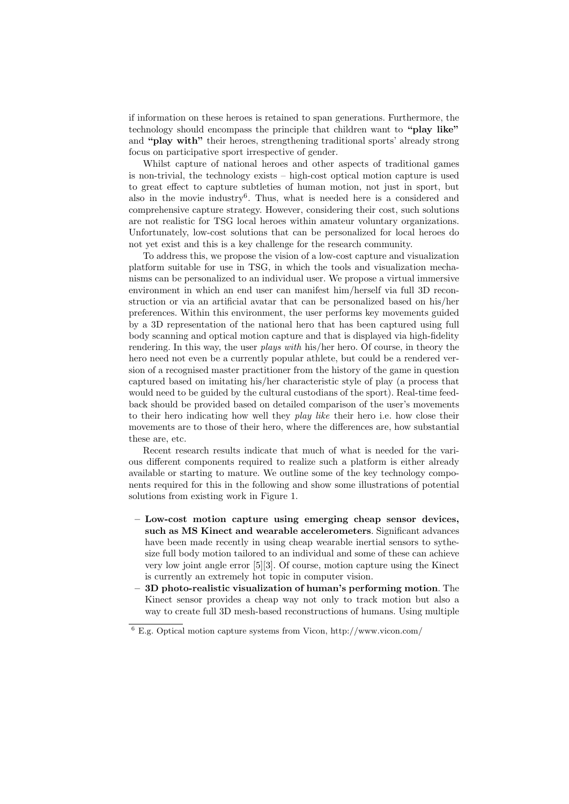if information on these heroes is retained to span generations. Furthermore, the technology should encompass the principle that children want to "play like" and "play with" their heroes, strengthening traditional sports' already strong focus on participative sport irrespective of gender.

Whilst capture of national heroes and other aspects of traditional games is non-trivial, the technology exists – high-cost optical motion capture is used to great effect to capture subtleties of human motion, not just in sport, but also in the movie industry<sup>6</sup>. Thus, what is needed here is a considered and comprehensive capture strategy. However, considering their cost, such solutions are not realistic for TSG local heroes within amateur voluntary organizations. Unfortunately, low-cost solutions that can be personalized for local heroes do not yet exist and this is a key challenge for the research community.

To address this, we propose the vision of a low-cost capture and visualization platform suitable for use in TSG, in which the tools and visualization mechanisms can be personalized to an individual user. We propose a virtual immersive environment in which an end user can manifest him/herself via full 3D reconstruction or via an artificial avatar that can be personalized based on his/her preferences. Within this environment, the user performs key movements guided by a 3D representation of the national hero that has been captured using full body scanning and optical motion capture and that is displayed via high-fidelity rendering. In this way, the user *plays with* his/her hero. Of course, in theory the hero need not even be a currently popular athlete, but could be a rendered version of a recognised master practitioner from the history of the game in question captured based on imitating his/her characteristic style of play (a process that would need to be guided by the cultural custodians of the sport). Real-time feedback should be provided based on detailed comparison of the user's movements to their hero indicating how well they *play like* their hero i.e. how close their movements are to those of their hero, where the differences are, how substantial these are, etc.

Recent research results indicate that much of what is needed for the various different components required to realize such a platform is either already available or starting to mature. We outline some of the key technology components required for this in the following and show some illustrations of potential solutions from existing work in Figure 1.

- Low-cost motion capture using emerging cheap sensor devices, such as MS Kinect and wearable accelerometers. Significant advances have been made recently in using cheap wearable inertial sensors to sythesize full body motion tailored to an individual and some of these can achieve very low joint angle error [5][3]. Of course, motion capture using the Kinect is currently an extremely hot topic in computer vision.
- 3D photo-realistic visualization of human's performing motion. The Kinect sensor provides a cheap way not only to track motion but also a way to create full 3D mesh-based reconstructions of humans. Using multiple

 $6$  E.g. Optical motion capture systems from Vicon, http://www.vicon.com/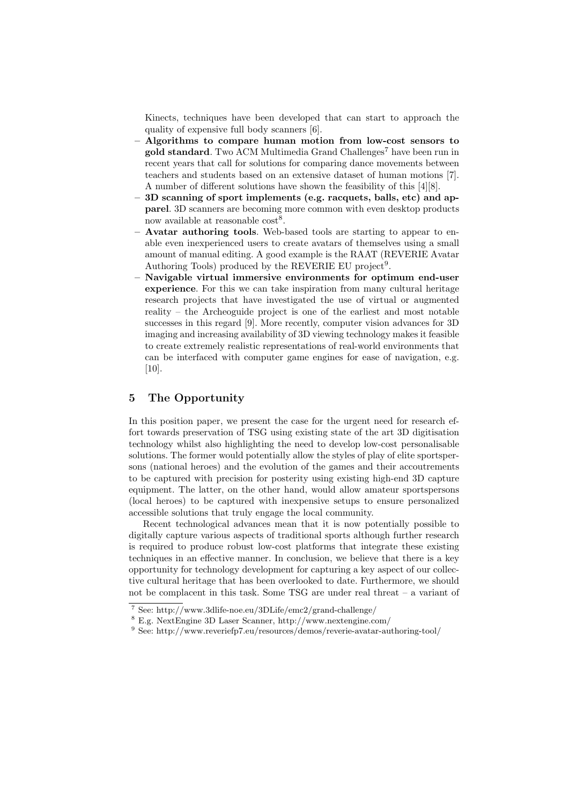Kinects, techniques have been developed that can start to approach the quality of expensive full body scanners [6].

- Algorithms to compare human motion from low-cost sensors to gold standard. Two ACM Multimedia Grand Challenges<sup>7</sup> have been run in recent years that call for solutions for comparing dance movements between teachers and students based on an extensive dataset of human motions [7]. A number of different solutions have shown the feasibility of this [4][8].
- 3D scanning of sport implements (e.g. racquets, balls, etc) and apparel. 3D scanners are becoming more common with even desktop products now available at reasonable  $\text{cost}^8$ .
- Avatar authoring tools. Web-based tools are starting to appear to enable even inexperienced users to create avatars of themselves using a small amount of manual editing. A good example is the RAAT (REVERIE Avatar Authoring Tools) produced by the REVERIE EU project<sup>9</sup>.
- Navigable virtual immersive environments for optimum end-user experience. For this we can take inspiration from many cultural heritage research projects that have investigated the use of virtual or augmented reality – the Archeoguide project is one of the earliest and most notable successes in this regard [9]. More recently, computer vision advances for 3D imaging and increasing availability of 3D viewing technology makes it feasible to create extremely realistic representations of real-world environments that can be interfaced with computer game engines for ease of navigation, e.g. [10].

### 5 The Opportunity

In this position paper, we present the case for the urgent need for research effort towards preservation of TSG using existing state of the art 3D digitisation technology whilst also highlighting the need to develop low-cost personalisable solutions. The former would potentially allow the styles of play of elite sportspersons (national heroes) and the evolution of the games and their accoutrements to be captured with precision for posterity using existing high-end 3D capture equipment. The latter, on the other hand, would allow amateur sportspersons (local heroes) to be captured with inexpensive setups to ensure personalized accessible solutions that truly engage the local community.

Recent technological advances mean that it is now potentially possible to digitally capture various aspects of traditional sports although further research is required to produce robust low-cost platforms that integrate these existing techniques in an effective manner. In conclusion, we believe that there is a key opportunity for technology development for capturing a key aspect of our collective cultural heritage that has been overlooked to date. Furthermore, we should not be complacent in this task. Some TSG are under real threat – a variant of

<sup>7</sup> See: http://www.3dlife-noe.eu/3DLife/emc2/grand-challenge/

<sup>8</sup> E.g. NextEngine 3D Laser Scanner, http://www.nextengine.com/

<sup>9</sup> See: http://www.reveriefp7.eu/resources/demos/reverie-avatar-authoring-tool/